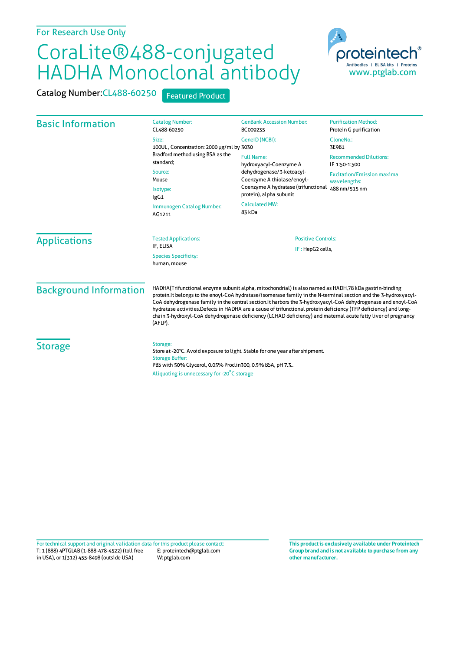## CoraLite®488-conjugated HADHA Monoclonal antibody

proteinter Antibodies | ELISA kits | Proteins www.ptglab.com

Catalog Number: CL488-60250 Featured Product

| <b>Basic Information</b>                    | <b>Catalog Number:</b><br>CL488-60250                                                                                                                                                                                                                                                                                                                                                                                                                                                                                                                                                       | <b>GenBank Accession Number:</b><br>BC009235 | <b>Purification Method:</b><br>Protein G purification              |  |
|---------------------------------------------|---------------------------------------------------------------------------------------------------------------------------------------------------------------------------------------------------------------------------------------------------------------------------------------------------------------------------------------------------------------------------------------------------------------------------------------------------------------------------------------------------------------------------------------------------------------------------------------------|----------------------------------------------|--------------------------------------------------------------------|--|
|                                             | Size:<br>100UL, Concentration: 2000 µg/ml by 3030                                                                                                                                                                                                                                                                                                                                                                                                                                                                                                                                           | GeneID (NCBI):                               | CloneNo.:<br>3E9B1                                                 |  |
|                                             | Bradford method using BSA as the<br><b>Full Name:</b><br>standard;<br>hydroxyacyl-Coenzyme A<br>dehydrogenase/3-ketoacyl-<br>Source:<br>Coenzyme A thiolase/enoyl-<br>Mouse<br>Isotype:<br>protein), alpha subunit<br>IgG1<br><b>Calculated MW:</b><br>Immunogen Catalog Number:<br>83 kDa<br>AG1211                                                                                                                                                                                                                                                                                        | Coenzyme A hydratase (trifunctional          | <b>Recommended Dilutions:</b><br>IF 1:50-1:500                     |  |
|                                             |                                                                                                                                                                                                                                                                                                                                                                                                                                                                                                                                                                                             |                                              | <b>Excitation/Emission maxima</b><br>wavelengths:<br>488 nm/515 nm |  |
|                                             |                                                                                                                                                                                                                                                                                                                                                                                                                                                                                                                                                                                             |                                              |                                                                    |  |
|                                             |                                                                                                                                                                                                                                                                                                                                                                                                                                                                                                                                                                                             | <b>Applications</b>                          | <b>Tested Applications:</b><br>IF, ELISA                           |  |
| <b>Species Specificity:</b><br>human, mouse | IF: HepG2 cells,                                                                                                                                                                                                                                                                                                                                                                                                                                                                                                                                                                            |                                              |                                                                    |  |
| <b>Background Information</b>               | HADHA(Trifunctional enzyme subunit alpha, mitochondrial) is also named as HADH, 78 kDa gastrin-binding<br>protein. It belongs to the enoyl-CoA hydratase/isomerase family in the N-terminal section and the 3-hydroxyacyl-<br>CoA dehydrogenase family in the central section. It harbors the 3-hydroxyacyl-CoA dehydrogenase and enoyl-CoA<br>hydratase activities. Defects in HADHA are a cause of trifunctional protein deficiency (TFP deficiency) and long-<br>chain 3-hydroxyl-CoA dehydrogenase deficiency (LCHAD deficiency) and maternal acute fatty liver of pregnancy<br>(AFLP). |                                              |                                                                    |  |
| <b>Storage</b>                              | Storage:<br>Store at -20°C. Avoid exposure to light. Stable for one year after shipment.<br><b>Storage Buffer:</b><br>PBS with 50% Glycerol, 0.05% Proclin300, 0.5% BSA, pH 7.3<br>Aliquoting is unnecessary for -20 <sup>°</sup> C storage                                                                                                                                                                                                                                                                                                                                                 |                                              |                                                                    |  |

T: 1 (888) 4PTGLAB (1-888-478-4522) (toll free in USA), or 1(312) 455-8498 (outside USA) E: proteintech@ptglab.com W: ptglab.com Fortechnical support and original validation data forthis product please contact: **This productis exclusively available under Proteintech**

**Group brand and is not available to purchase from any other manufacturer.**